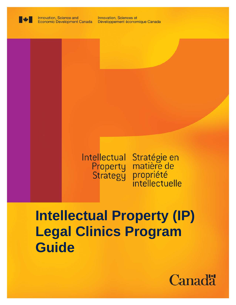

Innovation, Sciences et Développement économique Canada

# Intellectual Stratégie en<br>Property matière de tellectual Stratégie en<br>Property matière de<br>Strategy propriété

# **Intellectual Property (IP) Legal Clinics Program Guide**

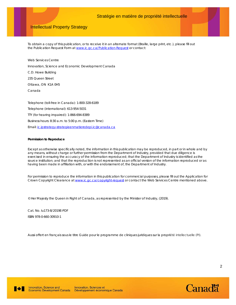#### Intellectual Property Strategy

To obtain a copy of this publication, or to receive it in an alternate format (Braille, large print, etc.), please fill out the Publication Request Form at [www.ic.gc.ca/Publication-Request](http://www.ic.gc.ca/eic/site/iccat.nsf/frm-eng/EABV-9E9HE7) or contact:

Web Services Centre Innovation, Science and Economic Development Canada C.D. Howe Building 235 Queen Street Ottawa, ON K1A 0H5 Canada

Telephone (toll-free in Canada): 1-800-328-6189 Telephone (international): 613-954-5031 TTY (for hearing impaired): 1-866-694-8389 Business hours: 8:30 a.m. to 5:00 p.m. (Eastern Time) Email: [ic.ipstrategy-strategieenmatieredepi.ic@canada.ca](mailto:ic.ipstrategy-strategieenmatieredepi.ic@canada.ca)

#### **Permission to Reproduce**

Except as otherwise specifically noted, the information in this publication may be reproduced, in part or in whole and by any means, without charge or further permission from the Department of Industry, provided that due diligence is exercised in ensuring the accuracy of the information reproduced; that the Department of Industry is identified as the source institution; and that the reproduction is not represented as an official version of the information reproduced or as having been made in affiliation with, or with the endorsement of, the Department of Industry.

For permission to reproduce the information in this publication for commercial purposes, please fill out the Application for Crown Copyright Clearance a[t www.ic.gc.ca/copyright-request](http://www.ic.gc.ca/eic/site/icgc.nsf/frm-eng/EABV-9DDLWL) or contact the Web Services Centre mentioned above.

© Her Majesty the Queen in Right of Canada, as represented by the Minister of Industry, (2019).

Cat. No. Iu173-8/2019E-PDF ISBN 978-0-660-30910-1

Aussi offert en français sous le titre *Guide pour le programme de cliniques juridiques sur la propriété intellectuelle (PI)*.



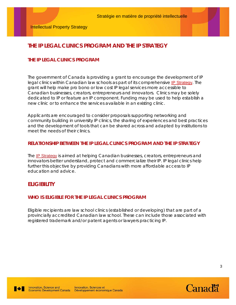# **THE IP LEGAL CLINICS PROGRAM AND THE IP STRATEGY**

## **THE IP LEGAL CLINICS PROGRAM**

The government of Canada is providing a grant to encourage the development of IP legal clinics within Canadian law schools as part of its comprehensive [IP Strategy](https://www.ic.gc.ca/eic/site/108.nsf/eng/home). The grant will help make pro bono or low cost IP legal services more accessible to Canadian businesses, creators, entrepreneurs and innovators. Clinics may be solely dedicated to IP or feature an IP component. Funding may be used to help establish a new clinic or to enhance the services available in an existing clinic.

Applicants are encouraged to consider proposals supporting networking and community building in university IP clinics, the sharing of experiences and best practices and the development of tools that can be shared across and adapted by institutions to meet the needs of their clinics.

#### **RELATIONSHIP BETWEEN THE IP LEGAL CLINICS PROGRAM AND THE IP STRATEGY**

The **[IP Strategy](https://www.ic.gc.ca/eic/site/108.nsf/eng/home)** is aimed at helping Canadian businesses, creators, entrepreneurs and innovators better understand, protect and commercialize their IP. IP legal clinics help further this objective by providing Canadians with more affordable access to IP education and advice.

# **ELIGIBILITY**

#### **WHO IS ELIGIBLE FOR THE IP LEGAL CLINICS PROGRAM**

Eligible recipients are law school clinics (established or developing) that are part of a provincially accredited Canadian law school. These can include those associated with registered trademark and/or patent agents or lawyers practicing IP.

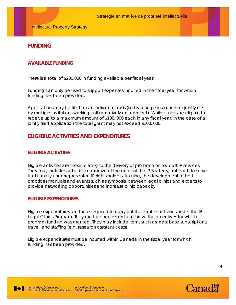# **FUNDING**

## **AVAILABLE FUNDING**

There is a total of \$200,000 in funding available per fiscal year.

Funding can only be used to support expenses incurred in the fiscal year for which funding has been provided.

Applications may be filed on an individual basis (i.e.by a single institution) or jointly (i.e. by multiple institutions working collaboratively on a project). While clinics are eligible to receive up to a maximum amount of \$100, 000 each in any fiscal year, in the case of a jointly filed application the total grant may not exceed \$100, 000.

# **ELIGIBILE ACTIVITIES AND EXPENDITURES**

#### **ELIGIBLE ACTIVITIES**

Eligible activities are those relating to the delivery of pro bono or low cost IP services. They may include: activities supportive of the goals of the IP Strategy, outreach to serve traditionally underrepresented IP rights holders, training, the development of best practices manuals and events such as symposia between legal clinics and experts to provide networking opportunities and increase clinic capacity.

#### **ELIGIBLE EXPENDITURES**

Eligible expenditures are those required to carry out the eligible activities under the IP Legal Clinics Program. They must be necessary to achieve the objectives for which program funding was granted. They may include items such as: database subscriptions; travel; and staffing (e.g. research assistant costs).

Eligible expenditures must be incurred within Canada in the fiscal year for which funding has been provided.



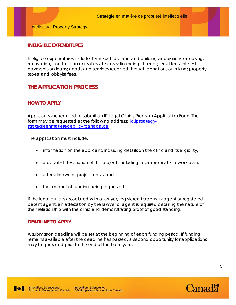#### **INELIGIBLE EXPENDITURES**

Ineligible expenditures include items such as: land and building acquisitions or leasing; renovation, construction or real estate costs; financing charges; legal fees; interest payments on loans; goods and services received through donations or in kind; property taxes; and lobbyist fees.

# **THE APPLICATION PROCESS**

#### **HOW TO APPLY**

Applicants are required to submit an IP Legal Clinics Program Application Form. The form may be requested at the following address: [ic.ipstrategy](mailto:ic.ipstrategy-strategieenmatieredepi.ic@canada.ca)[strategieenmatieredepi.ic@canada.ca.](mailto:ic.ipstrategy-strategieenmatieredepi.ic@canada.ca)

The application must include:

- information on the applicant, including details on the clinic and its eligibility;
- a detailed description of the project, including, as appropriate, a work plan;
- a breakdown of project costs; and
- the amount of funding being requested.

If the legal clinic is associated with a lawyer, registered trademark agent or registered patent agent, an attestation by the lawyer or agent is required detailing the nature of their relationship with the clinic and demonstrating proof of good standing.

#### **DEADLINE TO APPLY**

A submission deadline will be set at the beginning of each funding period. If funding remains available after the deadline has passed, a second opportunity for applications may be provided prior to the end of the fiscal year.



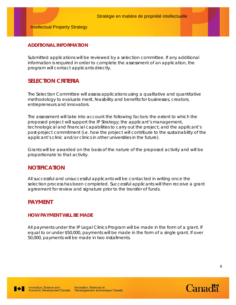#### **ADDITIONAL INFORMATION**

Submitted applications will be reviewed by a selection committee. If any additional information is required in order to complete the assessment of an application, the program will contact applicants directly.

# **SELECTION CRITERIA**

The Selection Committee will assess applications using a qualitative and quantitative methodology to evaluate merit, feasibility and benefits for businesses, creators, entrepreneurs and innovators.

The assessment will take into account the following factors: the extent to which the proposed project will support the IP Strategy; the applicant's management, technological and financial capabilities to carry out the project; and the applicant's post-project commitment (i.e. how the project will contribute to the sustainability of the applicant's clinic and/or clinics in other universities in the future).

Grants will be awarded on the basis of the nature of the proposed activity and will be proportionate to that activity.

# **NOTIFICATION**

All successful and unsuccessful applicants will be contacted in writing once the selection process has been completed. Successful applicants will then receive a grant agreement for review and signature prior to the transfer of funds.

# **PAYMENT**

#### **HOW PAYMENT WILL BE MADE**

All payments under the IP Legal Clinics Program will be made in the form of a grant. If equal to or under \$50,000, payments will be made in the form of a single grant. If over 50,000, payments will be made in two installments.



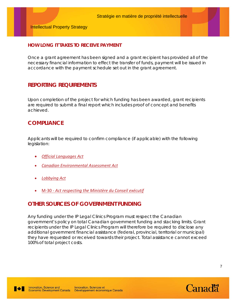Intellectual Property Strategy

#### **HOW LONG IT TAKES TO RECEIVE PAYMENT**

Once a grant agreement has been signed and a grant recipient has provided all of the necessary financial information to effect the transfer of funds, payment will be issued in accordance with the payment schedule set out in the grant agreement.

# **REPORTING REQUIREMENTS**

Upon completion of the project for which funding has been awarded, grant recipients are required to submit a final report which includes proof of concept and benefits achieved.

# **COMPLIANCE**

Applicants will be required to confirm compliance (if applicable) with the following legislation:

- *[Official Languages Act](https://laws-lois.justice.gc.ca/eng/acts/O-3.01/index.html)*
- *[Canadian Environmental Assessment Act](https://laws-lois.justice.gc.ca/eng/acts/c-15.21/index.html)*
- *[Lobbying Act](https://laws.justice.gc.ca/eng/acts/L-12.4/)*
- M-30 *[Act respecting the Ministère du Conseil exécutif](http://legisquebec.gouv.qc.ca/en/ShowDoc/cs/M-30)*

# **OTHER SOURCES OF GOVERNMENT FUNDING**

Any funding under the IP Legal Clinics Program must respect the Canadian government's policy on total Canadian government funding and stacking limits. Grant recipients under the IP Legal Clinics Program will therefore be required to disclose any additional government financial assistance (federal, provincial, territorial or municipal) they have requested or received towards their project. Total assistance cannot exceed 100% of total project costs.